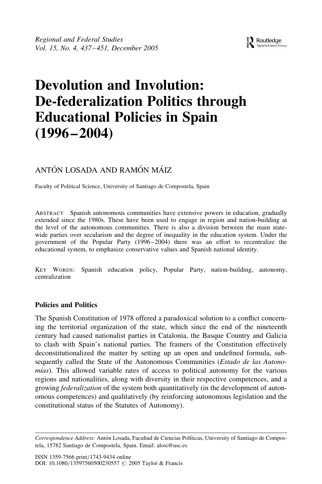# Devolution and Involution: De-federalization Politics through Educational Policies in Spain  $(1996 - 2004)$

## ANTÓN LOSADA AND RAMÓN MÁIZ

Faculty of Political Science, University of Santiago de Compostela, Spain

ABSTRACT Spanish autonomous communities have extensive powers in education, gradually extended since the 1980s. These have been used to engage in region and nation-building at the level of the autonomous communities. There is also a division between the main statewide parties over secularism and the degree of inequality in the education system. Under the government of the Popular Party (1996–2004) there was an effort to recentralize the educational system, to emphasize conservative values and Spanish national identity.

KEY WORDS: Spanish education policy, Popular Party, nation-building, autonomy, centralization

## Policies and Politics

The Spanish Constitution of 1978 offered a paradoxical solution to a conflict concerning the territorial organization of the state, which since the end of the nineteenth century had caused nationalist parties in Catalonia, the Basque Country and Galicia to clash with Spain's national parties. The framers of the Constitution effectively deconstitutionalized the matter by setting up an open and undefined formula, subsequently called the State of the Autonomous Communities (*Estado de las Autono* $mias)$ . This allowed variable rates of access to political autonomy for the various regions and nationalities, along with diversity in their respective competences, and a growing federalization of the system both quantitatively (in the development of autonomous competences) and qualitatively (by reinforcing autonomous legislation and the constitutional status of the Statutes of Autonomy).

Correspondence Address: Antón Losada, Facultad de Ciencias Políticas, University of Santiago de Compostela, 15782 Santiago de Compostela, Spain. Email: alosi@usc.es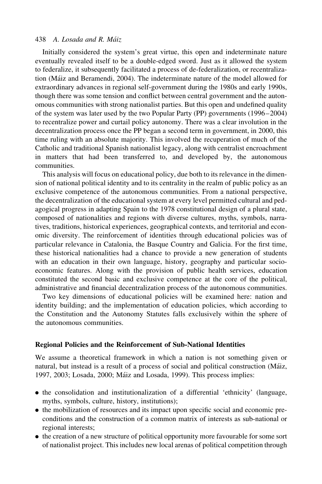Initially considered the system's great virtue, this open and indeterminate nature eventually revealed itself to be a double-edged sword. Just as it allowed the system to federalize, it subsequently facilitated a process of de-federalization, or recentralization (Ma´iz and Beramendi, 2004). The indeterminate nature of the model allowed for extraordinary advances in regional self-government during the 1980s and early 1990s, though there was some tension and conflict between central government and the autonomous communities with strong nationalist parties. But this open and undefined quality of the system was later used by the two Popular Party (PP) governments (1996–2004) to recentralize power and curtail policy autonomy. There was a clear involution in the decentralization process once the PP began a second term in government, in 2000, this time ruling with an absolute majority. This involved the recuperation of much of the Catholic and traditional Spanish nationalist legacy, along with centralist encroachment in matters that had been transferred to, and developed by, the autonomous communities.

This analysis will focus on educational policy, due both to its relevance in the dimension of national political identity and to its centrality in the realm of public policy as an exclusive competence of the autonomous communities. From a national perspective, the decentralization of the educational system at every level permitted cultural and pedagogical progress in adapting Spain to the 1978 constitutional design of a plural state, composed of nationalities and regions with diverse cultures, myths, symbols, narratives, traditions, historical experiences, geographical contexts, and territorial and economic diversity. The reinforcement of identities through educational policies was of particular relevance in Catalonia, the Basque Country and Galicia. For the first time, these historical nationalities had a chance to provide a new generation of students with an education in their own language, history, geography and particular socioeconomic features. Along with the provision of public health services, education constituted the second basic and exclusive competence at the core of the political, administrative and financial decentralization process of the autonomous communities.

Two key dimensions of educational policies will be examined here: nation and identity building; and the implementation of education policies, which according to the Constitution and the Autonomy Statutes falls exclusively within the sphere of the autonomous communities.

#### Regional Policies and the Reinforcement of Sub-National Identities

We assume a theoretical framework in which a nation is not something given or natural, but instead is a result of a process of social and political construction (Máiz, 1997, 2003; Losada, 2000; Ma´iz and Losada, 1999). This process implies:

- . the consolidation and institutionalization of a differential 'ethnicity' (language, myths, symbols, culture, history, institutions);
- . the mobilization of resources and its impact upon specific social and economic preconditions and the construction of a common matrix of interests as sub-national or regional interests;
- . the creation of a new structure of political opportunity more favourable for some sort of nationalist project. This includes new local arenas of political competition through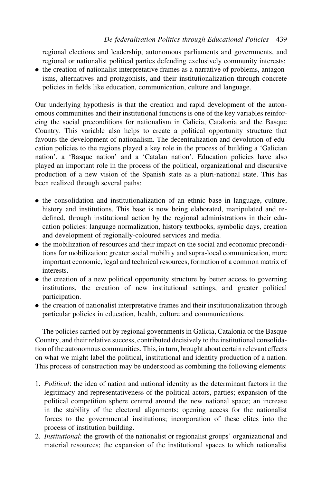regional elections and leadership, autonomous parliaments and governments, and regional or nationalist political parties defending exclusively community interests;

. the creation of nationalist interpretative frames as a narrative of problems, antagonisms, alternatives and protagonists, and their institutionalization through concrete policies in fields like education, communication, culture and language.

Our underlying hypothesis is that the creation and rapid development of the autonomous communities and their institutional functions is one of the key variables reinforcing the social preconditions for nationalism in Galicia, Catalonia and the Basque Country. This variable also helps to create a political opportunity structure that favours the development of nationalism. The decentralization and devolution of education policies to the regions played a key role in the process of building a 'Galician nation', a 'Basque nation' and a 'Catalan nation'. Education policies have also played an important role in the process of the political, organizational and discursive production of a new vision of the Spanish state as a pluri-national state. This has been realized through several paths:

- . the consolidation and institutionalization of an ethnic base in language, culture, history and institutions. This base is now being elaborated, manipulated and redefined, through institutional action by the regional administrations in their education policies: language normalization, history textbooks, symbolic days, creation and development of regionally-coloured services and media.
- . the mobilization of resources and their impact on the social and economic preconditions for mobilization: greater social mobility and supra-local communication, more important economic, legal and technical resources, formation of a common matrix of interests.
- . the creation of a new political opportunity structure by better access to governing institutions, the creation of new institutional settings, and greater political participation.
- . the creation of nationalist interpretative frames and their institutionalization through particular policies in education, health, culture and communications.

The policies carried out by regional governments in Galicia, Catalonia or the Basque Country, and their relative success, contributed decisively to the institutional consolidation of the autonomous communities. This, in turn, brought about certain relevant effects on what we might label the political, institutional and identity production of a nation. This process of construction may be understood as combining the following elements:

- 1. Political: the idea of nation and national identity as the determinant factors in the legitimacy and representativeness of the political actors, parties; expansion of the political competition sphere centred around the new national space; an increase in the stability of the electoral alignments; opening access for the nationalist forces to the governmental institutions; incorporation of these elites into the process of institution building.
- 2. Institutional: the growth of the nationalist or regionalist groups' organizational and material resources; the expansion of the institutional spaces to which nationalist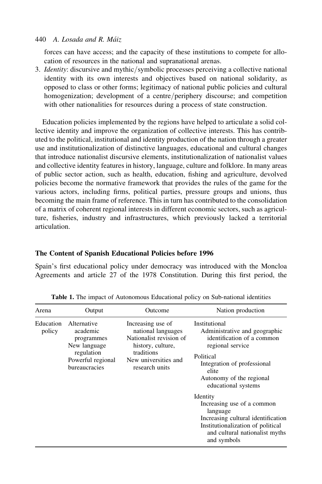forces can have access; and the capacity of these institutions to compete for allocation of resources in the national and supranational arenas.

3. Identity: discursive and mythic/symbolic processes perceiving a collective national identity with its own interests and objectives based on national solidarity, as opposed to class or other forms; legitimacy of national public policies and cultural homogenization; development of a centre/periphery discourse; and competition with other nationalities for resources during a process of state construction.

Education policies implemented by the regions have helped to articulate a solid collective identity and improve the organization of collective interests. This has contributed to the political, institutional and identity production of the nation through a greater use and institutionalization of distinctive languages, educational and cultural changes that introduce nationalist discursive elements, institutionalization of nationalist values and collective identity features in history, language, culture and folklore. In many areas of public sector action, such as health, education, fishing and agriculture, devolved policies become the normative framework that provides the rules of the game for the various actors, including firms, political parties, pressure groups and unions, thus becoming the main frame of reference. This in turn has contributed to the consolidation of a matrix of coherent regional interests in different economic sectors, such as agriculture, fisheries, industry and infrastructures, which previously lacked a territorial articulation.

## The Content of Spanish Educational Policies before 1996

Spain's first educational policy under democracy was introduced with the Moncloa Agreements and article 27 of the 1978 Constitution. During this first period, the

| Arena               | Output                                                                                                                                                                                                                                                       | Outcome                                            | Nation production                                                                                                                                                                                        |
|---------------------|--------------------------------------------------------------------------------------------------------------------------------------------------------------------------------------------------------------------------------------------------------------|----------------------------------------------------|----------------------------------------------------------------------------------------------------------------------------------------------------------------------------------------------------------|
| Education<br>policy | Alternative<br>Increasing use of<br>academic<br>national languages<br>Nationalist revision of<br>programmes<br>New language<br>history, culture,<br>regulation<br>traditions<br>New universities and<br>Powerful regional<br>bureaucracies<br>research units |                                                    | Institutional<br>Administrative and geographic<br>identification of a common<br>regional service<br>Political<br>Integration of professional<br>elite<br>Autonomy of the regional<br>educational systems |
|                     |                                                                                                                                                                                                                                                              | Identity<br>Increasing use of a common<br>language |                                                                                                                                                                                                          |
|                     |                                                                                                                                                                                                                                                              |                                                    | Increasing cultural identification<br>Institutionalization of political<br>and cultural nationalist myths<br>and symbols                                                                                 |

Table 1. The impact of Autonomous Educational policy on Sub-national identities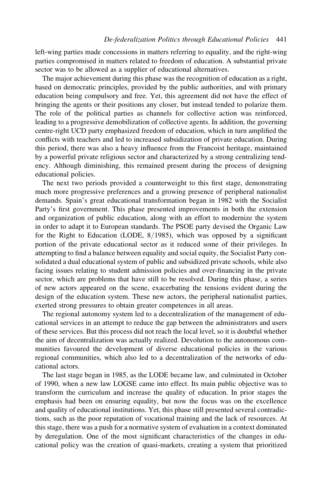left-wing parties made concessions in matters referring to equality, and the right-wing parties compromised in matters related to freedom of education. A substantial private sector was to be allowed as a supplier of educational alternatives.

The major achievement during this phase was the recognition of education as a right, based on democratic principles, provided by the public authorities, and with primary education being compulsory and free. Yet, this agreement did not have the effect of bringing the agents or their positions any closer, but instead tended to polarize them. The role of the political parties as channels for collective action was reinforced, leading to a progressive demobilization of collective agents. In addition, the governing centre-right UCD party emphasized freedom of education, which in turn amplified the conflicts with teachers and led to increased subsidization of private education. During this period, there was also a heavy influence from the Francoist heritage, maintained by a powerful private religious sector and characterized by a strong centralizing tendency. Although diminishing, this remained present during the process of designing educational policies.

The next two periods provided a counterweight to this first stage, demonstrating much more progressive preferences and a growing presence of peripheral nationalist demands. Spain's great educational transformation began in 1982 with the Socialist Party's first government. This phase presented improvements in both the extension and organization of public education, along with an effort to modernize the system in order to adapt it to European standards. The PSOE party devised the Organic Law for the Right to Education (LODE, 8/1985), which was opposed by a significant portion of the private educational sector as it reduced some of their privileges. In attempting to find a balance between equality and social equity, the Socialist Party consolidated a dual educational system of public and subsidized private schools, while also facing issues relating to student admission policies and over-financing in the private sector, which are problems that have still to be resolved. During this phase, a series of new actors appeared on the scene, exacerbating the tensions evident during the design of the education system. These new actors, the peripheral nationalist parties, exerted strong pressures to obtain greater competences in all areas.

The regional autonomy system led to a decentralization of the management of educational services in an attempt to reduce the gap between the administrators and users of these services. But this process did not reach the local level, so it is doubtful whether the aim of decentralization was actually realized. Devolution to the autonomous communities favoured the development of diverse educational policies in the various regional communities, which also led to a decentralization of the networks of educational actors.

The last stage began in 1985, as the LODE became law, and culminated in October of 1990, when a new law LOGSE came into effect. Its main public objective was to transform the curriculum and increase the quality of education. In prior stages the emphasis had been on ensuring equality, but now the focus was on the excellence and quality of educational institutions. Yet, this phase still presented several contradictions, such as the poor reputation of vocational training and the lack of resources. At this stage, there was a push for a normative system of evaluation in a context dominated by deregulation. One of the most significant characteristics of the changes in educational policy was the creation of quasi-markets, creating a system that prioritized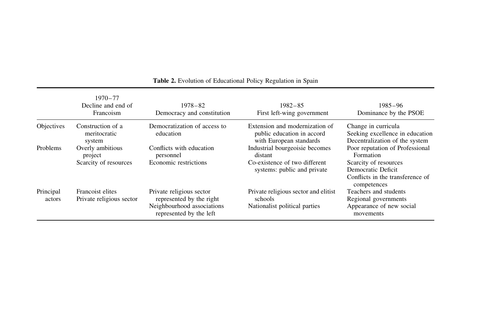|                     | $1970 - 77$<br>Decline and end of<br>Francoism | $1978 - 82$<br>Democracy and constitution                                                                     | $1982 - 85$<br>First left-wing government                                               | 1985–96<br>Dominance by the PSOE                                                               |
|---------------------|------------------------------------------------|---------------------------------------------------------------------------------------------------------------|-----------------------------------------------------------------------------------------|------------------------------------------------------------------------------------------------|
| Objectives          | Construction of a<br>meritocratic<br>system    | Democratization of access to<br>education                                                                     | Extension and modernization of<br>public education in accord<br>with European standards | Change in curricula<br>Seeking excellence in education<br>Decentralization of the system       |
| Problems            | Overly ambitious<br>project                    | Conflicts with education<br>personnel                                                                         | Industrial bourgeoisie becomes<br>distant                                               | Poor reputation of Professional<br>Formation                                                   |
|                     | Scarcity of resources                          | Economic restrictions                                                                                         | Co-existence of two different<br>systems: public and private                            | Scarcity of resources<br>Democratic Deficit<br>Conflicts in the transference of<br>competences |
| Principal<br>actors | Francoist elites<br>Private religious sector   | Private religious sector<br>represented by the right<br>Neighbourhood associations<br>represented by the left | Private religious sector and elitist<br>schools<br>Nationalist political parties        | Teachers and students<br>Regional governments<br>Appearance of new social<br>movements         |

#### Table 2. Evolution of Educational Policy Regulation in Spain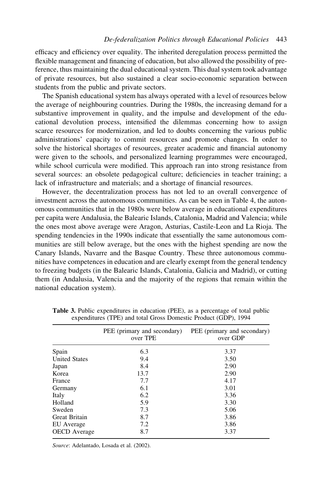efficacy and efficiency over equality. The inherited deregulation process permitted the flexible management and financing of education, but also allowed the possibility of preference, thus maintaining the dual educational system. This dual system took advantage of private resources, but also sustained a clear socio-economic separation between students from the public and private sectors.

The Spanish educational system has always operated with a level of resources below the average of neighbouring countries. During the 1980s, the increasing demand for a substantive improvement in quality, and the impulse and development of the educational devolution process, intensified the dilemmas concerning how to assign scarce resources for modernization, and led to doubts concerning the various public administrations' capacity to commit resources and promote changes. In order to solve the historical shortages of resources, greater academic and financial autonomy were given to the schools, and personalized learning programmes were encouraged, while school curricula were modified. This approach ran into strong resistance from several sources: an obsolete pedagogical culture; deficiencies in teacher training; a lack of infrastructure and materials; and a shortage of financial resources.

However, the decentralization process has not led to an overall convergence of investment across the autonomous communities. As can be seen in Table 4, the autonomous communities that in the 1980s were below average in educational expenditures per capita were Andalusia, the Balearic Islands, Catalonia, Madrid and Valencia; while the ones most above average were Aragon, Asturias, Castile-Leon and La Rioja. The spending tendencies in the 1990s indicate that essentially the same autonomous communities are still below average, but the ones with the highest spending are now the Canary Islands, Navarre and the Basque Country. These three autonomous communities have competences in education and are clearly exempt from the general tendency to freezing budgets (in the Balearic Islands, Catalonia, Galicia and Madrid), or cutting them (in Andalusia, Valencia and the majority of the regions that remain within the national education system).

|                      | PEE (primary and secondary)<br>over TPE | PEE (primary and secondary)<br>over GDP |
|----------------------|-----------------------------------------|-----------------------------------------|
| Spain                | 6.3                                     | 3.37                                    |
| <b>United States</b> | 9.4                                     | 3.50                                    |
| Japan                | 8.4                                     | 2.90                                    |
| Korea                | 13.7                                    | 2.90                                    |
| France               | 7.7                                     | 4.17                                    |
| Germany              | 6.1                                     | 3.01                                    |
| Italy                | 6.2                                     | 3.36                                    |
| Holland              | 5.9                                     | 3.30                                    |
| Sweden               | 7.3                                     | 5.06                                    |
| Great Britain        | 8.7                                     | 3.86                                    |
| EU Average           | 7.2                                     | 3.86                                    |
| <b>OECD</b> Average  | 8.7                                     | 3.37                                    |

Table 3. Public expenditures in education (PEE), as a percentage of total public expenditures (TPE) and total Gross Domestic Product (GDP), 1994

Source: Adelantado, Losada et al. (2002).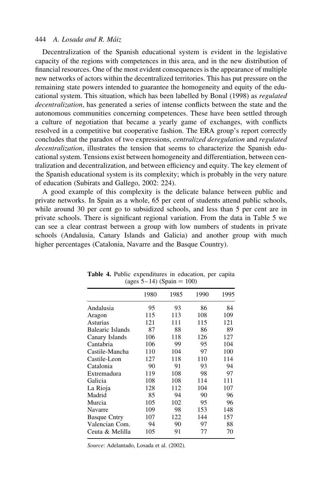Decentralization of the Spanish educational system is evident in the legislative capacity of the regions with competences in this area, and in the new distribution of financial resources. One of the most evident consequences is the appearance of multiple new networks of actors within the decentralized territories. This has put pressure on the remaining state powers intended to guarantee the homogeneity and equity of the educational system. This situation, which has been labelled by Bonal (1998) as regulated decentralization, has generated a series of intense conflicts between the state and the autonomous communities concerning competences. These have been settled through a culture of negotiation that became a yearly game of exchanges, with conflicts resolved in a competitive but cooperative fashion. The ERA group's report correctly concludes that the paradox of two expressions, centralized deregulation and regulated decentralization, illustrates the tension that seems to characterize the Spanish educational system. Tensions exist between homogeneity and differentiation, between centralization and decentralization, and between efficiency and equity. The key element of the Spanish educational system is its complexity; which is probably in the very nature of education (Subirats and Gallego, 2002: 224).

A good example of this complexity is the delicate balance between public and private networks. In Spain as a whole, 65 per cent of students attend public schools, while around 30 per cent go to subsidized schools, and less than 5 per cent are in private schools. There is significant regional variation. From the data in Table 5 we can see a clear contrast between a group with low numbers of students in private schools (Andalusia, Canary Islands and Galicia) and another group with much higher percentages (Catalonia, Navarre and the Basque Country).

|                     | 1980 | 1985 | 1990 | 1995 |
|---------------------|------|------|------|------|
| Andalusia           | 95   | 93   | 86   | 84   |
| Aragon              | 115  | 113  | 108  | 109  |
| Asturias            | 121  | 111  | 115  | 121  |
| Balearic Islands    | 87   | 88   | 86   | 89   |
| Canary Islands      | 106  | 118  | 126  | 127  |
| Cantabria           | 106  | 99   | 95   | 104  |
| Castile-Mancha      | 110  | 104  | 97   | 100  |
| Castile-Leon        | 127  | 118  | 110  | 114  |
| Catalonia           | 90   | 91   | 93   | 94   |
| Extremadura         | 119  | 108  | 98   | 97   |
| Galicia             | 108  | 108  | 114  | 111  |
| La Rioja            | 128  | 112  | 104  | 107  |
| Madrid              | 85   | 94   | 90   | 96   |
| Murcia              | 105  | 102  | 95   | 96   |
| Navarre             | 109  | 98   | 153  | 148  |
| <b>Basque Cntry</b> | 107  | 122  | 144  | 157  |
| Valencian Com.      | 94   | 90   | 97   | 88   |
| Ceuta & Melilla     | 105  | 91   | 77   | 70   |

Table 4. Public expenditures in education, per capita  $(\text{ages } 5-14) (\text{Spain} = 100)$ 

Source: Adelantado, Losada et al. (2002).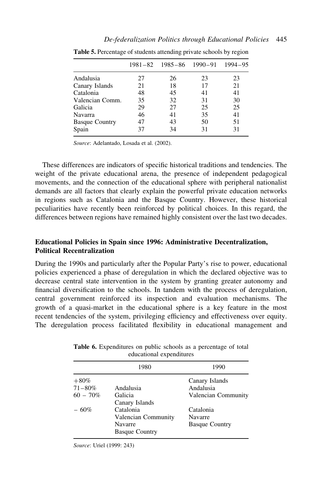|                       |    | 1981-82 1985-86 1990-91 1994-95 |    |    |
|-----------------------|----|---------------------------------|----|----|
| Andalusia             | 27 | 26                              | 23 | 23 |
| Canary Islands        | 21 | 18                              | 17 | 21 |
| Catalonia             | 48 | 45                              | 41 | 41 |
| Valencian Comm.       | 35 | 32                              | 31 | 30 |
| Galicia               | 29 | 27                              | 25 | 25 |
| Navarra               | 46 | 41                              | 35 | 41 |
| <b>Basque Country</b> | 47 | 43                              | 50 | 51 |
| Spain                 | 37 | 34                              | 31 | 31 |
|                       |    |                                 |    |    |

Table 5. Percentage of students attending private schools by region

Source: Adelantado, Losada et al. (2002).

These differences are indicators of specific historical traditions and tendencies. The weight of the private educational arena, the presence of independent pedagogical movements, and the connection of the educational sphere with peripheral nationalist demands are all factors that clearly explain the powerful private education networks in regions such as Catalonia and the Basque Country. However, these historical peculiarities have recently been reinforced by political choices. In this regard, the differences between regions have remained highly consistent over the last two decades.

## Educational Policies in Spain since 1996: Administrative Decentralization, Political Recentralization

During the 1990s and particularly after the Popular Party's rise to power, educational policies experienced a phase of deregulation in which the declared objective was to decrease central state intervention in the system by granting greater autonomy and financial diversification to the schools. In tandem with the process of deregulation, central government reinforced its inspection and evaluation mechanisms. The growth of a quasi-market in the educational sphere is a key feature in the most recent tendencies of the system, privileging efficiency and effectiveness over equity. The deregulation process facilitated flexibility in educational management and

|             | $\alpha$ acational expenditures |                       |  |
|-------------|---------------------------------|-----------------------|--|
|             | 1980                            | 1990                  |  |
| $+80\%$     |                                 | Canary Islands        |  |
| $71 - 80\%$ | Andalusia                       | Andalusia             |  |
| $60 - 70\%$ | Galicia                         | Valencian Community   |  |
|             | Canary Islands                  |                       |  |
| $-60%$      | Catalonia                       | Catalonia             |  |
|             | Valencian Community             | Navarre               |  |
|             | Navarre                         | <b>Basque Country</b> |  |
|             | <b>Basque Country</b>           |                       |  |

Table 6. Expenditures on public schools as a percentage of total educational expenditures

Source: Uriel (1999: 243)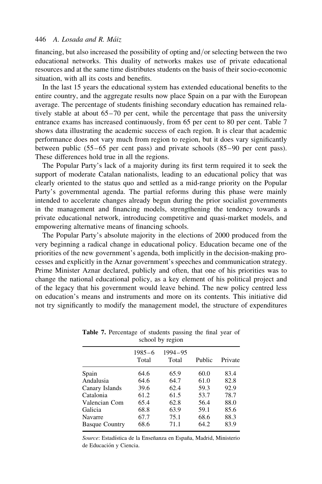financing, but also increased the possibility of opting and/or selecting between the two educational networks. This duality of networks makes use of private educational resources and at the same time distributes students on the basis of their socio-economic situation, with all its costs and benefits.

In the last 15 years the educational system has extended educational benefits to the entire country, and the aggregate results now place Spain on a par with the European average. The percentage of students finishing secondary education has remained relatively stable at about 65–70 per cent, while the percentage that pass the university entrance exams has increased continuously, from 65 per cent to 80 per cent. Table 7 shows data illustrating the academic success of each region. It is clear that academic performance does not vary much from region to region, but it does vary significantly between public (55–65 per cent pass) and private schools (85–90 per cent pass). These differences hold true in all the regions.

The Popular Party's lack of a majority during its first term required it to seek the support of moderate Catalan nationalists, leading to an educational policy that was clearly oriented to the status quo and settled as a mid-range priority on the Popular Party's governmental agenda. The partial reforms during this phase were mainly intended to accelerate changes already begun during the prior socialist governments in the management and financing models, strengthening the tendency towards a private educational network, introducing competitive and quasi-market models, and empowering alternative means of financing schools.

The Popular Party's absolute majority in the elections of 2000 produced from the very beginning a radical change in educational policy. Education became one of the priorities of the new government's agenda, both implicitly in the decision-making processes and explicitly in the Aznar government's speeches and communication strategy. Prime Minister Aznar declared, publicly and often, that one of his priorities was to change the national educational policy, as a key element of his political project and of the legacy that his government would leave behind. The new policy centred less on education's means and instruments and more on its contents. This initiative did not try significantly to modify the management model, the structure of expenditures

| $500101$ , $100101$   |                     |                  |        |         |
|-----------------------|---------------------|------------------|--------|---------|
|                       | $1985 - 6$<br>Total | 1994-95<br>Total | Public | Private |
| Spain                 | 64.6                | 65.9             | 60.0   | 83.4    |
| Andalusia             | 64.6                | 64.7             | 61.0   | 82.8    |
| Canary Islands        | 39.6                | 62.4             | 59.3   | 92.9    |
| Catalonia             | 61.2                | 61.5             | 53.7   | 78.7    |
| Valencian Com         | 65.4                | 62.8             | 56.4   | 88.0    |
| Galicia               | 68.8                | 63.9             | 59.1   | 85.6    |
| Navarre               | 67.7                | 75.1             | 68.6   | 88.3    |
| <b>Basque Country</b> | 68.6                | 71.1             | 64.2   | 83.9    |

Table 7. Percentage of students passing the final year of school by region

Source: Estadística de la Enseñanza en España, Madrid, Ministerio de Educación y Ciencia.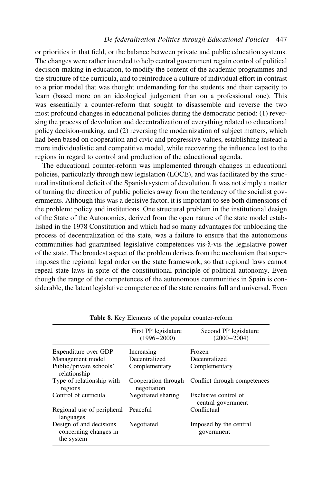or priorities in that field, or the balance between private and public education systems. The changes were rather intended to help central government regain control of political decision-making in education, to modify the content of the academic programmes and the structure of the curricula, and to reintroduce a culture of individual effort in contrast to a prior model that was thought undemanding for the students and their capacity to learn (based more on an ideological judgement than on a professional one). This was essentially a counter-reform that sought to disassemble and reverse the two most profound changes in educational policies during the democratic period: (1) reversing the process of devolution and decentralization of everything related to educational policy decision-making; and (2) reversing the modernization of subject matters, which had been based on cooperation and civic and progressive values, establishing instead a more individualistic and competitive model, while recovering the influence lost to the regions in regard to control and production of the educational agenda.

The educational counter-reform was implemented through changes in educational policies, particularly through new legislation (LOCE), and was facilitated by the structural institutional deficit of the Spanish system of devolution. It was not simply a matter of turning the direction of public policies away from the tendency of the socialist governments. Although this was a decisive factor, it is important to see both dimensions of the problem: policy and institutions. One structural problem in the institutional design of the State of the Autonomies, derived from the open nature of the state model established in the 1978 Constitution and which had so many advantages for unblocking the process of decentralization of the state, was a failure to ensure that the autonomous communities had guaranteed legislative competences vis-a`-vis the legislative power of the state. The broadest aspect of the problem derives from the mechanism that superimposes the regional legal order on the state framework, so that regional laws cannot repeal state laws in spite of the constitutional principle of political autonomy. Even though the range of the competences of the autonomous communities in Spain is considerable, the latent legislative competence of the state remains full and universal. Even

|                                                                | First PP legislature<br>$(1996 - 2000)$ | Second PP legislature<br>$(2000 - 2004)$   |
|----------------------------------------------------------------|-----------------------------------------|--------------------------------------------|
| Expenditure over GDP                                           | Increasing                              | Frozen                                     |
| Management model                                               | Decentralized                           | Decentralized                              |
| Public/private schools'<br>relationship                        | Complementary                           | Complementary                              |
| Type of relationship with<br>regions                           | Cooperation through<br>negotiation      | Conflict through competences               |
| Control of curricula                                           | Negotiated sharing                      | Exclusive control of<br>central government |
| Regional use of peripheral<br>languages                        | Peaceful                                | Conflictual                                |
| Design of and decisions<br>concerning changes in<br>the system | Negotiated                              | Imposed by the central<br>government       |

Table 8. Key Elements of the popular counter-reform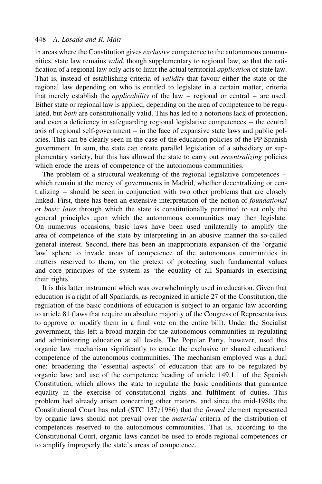in areas where the Constitution gives exclusive competence to the autonomous communities, state law remains valid, though supplementary to regional law, so that the ratification of a regional law only acts to limit the actual territorial application of state law. That is, instead of establishing criteria of validity that favour either the state or the regional law depending on who is entitled to legislate in a certain matter, criteria that merely establish the applicability of the law – regional or central – are used. Either state or regional law is applied, depending on the area of competence to be regulated, but both are constitutionally valid. This has led to a notorious lack of protection, and even a deficiency in safeguarding regional legislative competences – the central axis of regional self-government – in the face of expansive state laws and public policies. This can be clearly seen in the case of the education policies of the PP Spanish government. In sum, the state can create parallel legislation of a subsidiary or supplementary variety, but this has allowed the state to carry out recentralizing policies which erode the areas of competence of the autonomous communities.

The problem of a structural weakening of the regional legislative competences – which remain at the mercy of governments in Madrid, whether decentralizing or centralizing – should be seen in conjunction with two other problems that are closely linked. First, there has been an extensive interpretation of the notion of foundational or basic laws through which the state is constitutionally permitted to set only the general principles upon which the autonomous communities may then legislate. On numerous occasions, basic laws have been used unilaterally to amplify the area of competence of the state by interpreting in an abusive manner the so-called general interest. Second, there has been an inappropriate expansion of the 'organic law' sphere to invade areas of competence of the autonomous communities in matters reserved to them, on the pretext of protecting such fundamental values and core principles of the system as 'the equality of all Spaniards in exercising their rights'.

It is this latter instrument which was overwhelmingly used in education. Given that education is a right of all Spaniards, as recognized in article 27 of the Constitution, the regulation of the basic conditions of education is subject to an organic law according to article 81 (laws that require an absolute majority of the Congress of Representatives to approve or modify them in a final vote on the entire bill). Under the Socialist government, this left a broad margin for the autonomous communities in regulating and administering education at all levels. The Popular Party, however, used this organic law mechanism significantly to erode the exclusive or shared educational competence of the autonomous communities. The mechanism employed was a dual one: broadening the 'essential aspects' of education that are to be regulated by organic law; and use of the competence heading of article 149.1.1 of the Spanish Constitution, which allows the state to regulate the basic conditions that guarantee equality in the exercise of constitutional rights and fulfilment of duties. This problem had already arisen concerning other matters, and since the mid-1980s the Constitutional Court has ruled (STC 137/1986) that the formal element represented by organic laws should not prevail over the material criteria of the distribution of competences reserved to the autonomous communities. That is, according to the Constitutional Court, organic laws cannot be used to erode regional competences or to amplify improperly the state's areas of competence.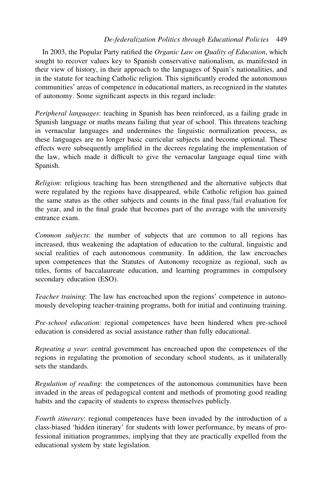In 2003, the Popular Party ratified the Organic Law on Quality of Education, which sought to recover values key to Spanish conservative nationalism, as manifested in their view of history, in their approach to the languages of Spain's nationalities, and in the statute for teaching Catholic religion. This significantly eroded the autonomous communities' areas of competence in educational matters, as recognized in the statutes of autonomy. Some significant aspects in this regard include:

Peripheral languages: teaching in Spanish has been reinforced, as a failing grade in Spanish language or maths means failing that year of school. This threatens teaching in vernacular languages and undermines the linguistic normalization process, as these languages are no longer basic curricular subjects and become optional. These effects were subsequently amplified in the decrees regulating the implementation of the law, which made it difficult to give the vernacular language equal time with Spanish.

Religion: religious teaching has been strengthened and the alternative subjects that were regulated by the regions have disappeared, while Catholic religion has gained the same status as the other subjects and counts in the final pass/fail evaluation for the year, and in the final grade that becomes part of the average with the university entrance exam.

Common subjects: the number of subjects that are common to all regions has increased, thus weakening the adaptation of education to the cultural, linguistic and social realities of each autonomous community. In addition, the law encroaches upon competences that the Statutes of Autonomy recognize as regional, such as titles, forms of baccalaureate education, and learning programmes in compulsory secondary education (ESO).

Teacher training: The law has encroached upon the regions' competence in autonomously developing teacher-training programs, both for initial and continuing training.

Pre-school education: regional competences have been hindered when pre-school education is considered as social assistance rather than fully educational.

Repeating a year: central government has encroached upon the competences of the regions in regulating the promotion of secondary school students, as it unilaterally sets the standards.

Regulation of reading: the competences of the autonomous communities have been invaded in the areas of pedagogical content and methods of promoting good reading habits and the capacity of students to express themselves publicly.

Fourth itinerary: regional competences have been invaded by the introduction of a class-biased 'hidden itinerary' for students with lower performance, by means of professional initiation programmes, implying that they are practically expelled from the educational system by state legislation.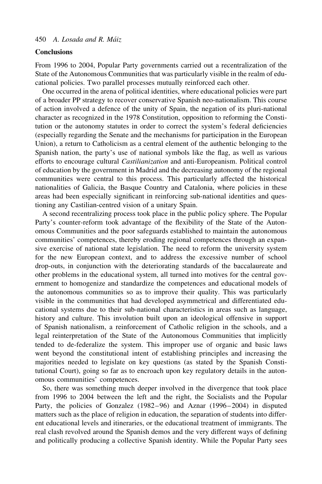#### **Conclusions**

From 1996 to 2004, Popular Party governments carried out a recentralization of the State of the Autonomous Communities that was particularly visible in the realm of educational policies. Two parallel processes mutually reinforced each other.

One occurred in the arena of political identities, where educational policies were part of a broader PP strategy to recover conservative Spanish neo-nationalism. This course of action involved a defence of the unity of Spain, the negation of its pluri-national character as recognized in the 1978 Constitution, opposition to reforming the Constitution or the autonomy statutes in order to correct the system's federal deficiencies (especially regarding the Senate and the mechanisms for participation in the European Union), a return to Catholicism as a central element of the authentic belonging to the Spanish nation, the party's use of national symbols like the flag, as well as various efforts to encourage cultural Castilianization and anti-Europeanism. Political control of education by the government in Madrid and the decreasing autonomy of the regional communities were central to this process. This particularly affected the historical nationalities of Galicia, the Basque Country and Catalonia, where policies in these areas had been especially significant in reinforcing sub-national identities and questioning any Castilian-centred vision of a unitary Spain.

A second recentralizing process took place in the public policy sphere. The Popular Party's counter-reform took advantage of the flexibility of the State of the Autonomous Communities and the poor safeguards established to maintain the autonomous communities' competences, thereby eroding regional competences through an expansive exercise of national state legislation. The need to reform the university system for the new European context, and to address the excessive number of school drop-outs, in conjunction with the deteriorating standards of the baccalaureate and other problems in the educational system, all turned into motives for the central government to homogenize and standardize the competences and educational models of the autonomous communities so as to improve their quality. This was particularly visible in the communities that had developed asymmetrical and differentiated educational systems due to their sub-national characteristics in areas such as language, history and culture. This involution built upon an ideological offensive in support of Spanish nationalism, a reinforcement of Catholic religion in the schools, and a legal reinterpretation of the State of the Autonomous Communities that implicitly tended to de-federalize the system. This improper use of organic and basic laws went beyond the constitutional intent of establishing principles and increasing the majorities needed to legislate on key questions (as stated by the Spanish Constitutional Court), going so far as to encroach upon key regulatory details in the autonomous communities' competences.

So, there was something much deeper involved in the divergence that took place from 1996 to 2004 between the left and the right, the Socialists and the Popular Party, the policies of Gonzalez (1982–96) and Aznar (1996–2004) in disputed matters such as the place of religion in education, the separation of students into different educational levels and itineraries, or the educational treatment of immigrants. The real clash revolved around the Spanish demos and the very different ways of defining and politically producing a collective Spanish identity. While the Popular Party sees